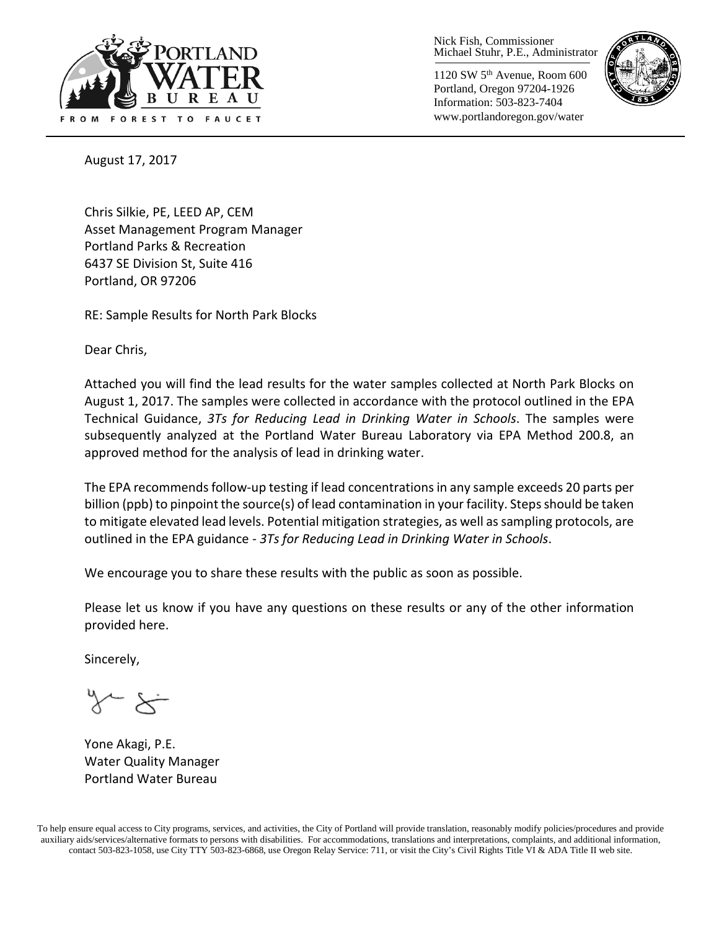

Nick Fish, Commissioner Michael Stuhr, P.E., Administrator

1120 SW 5th Avenue, Room 600 Portland, Oregon 97204-1926 Information: 503-823-7404 www.portlandoregon.gov/water



August 17, 2017

Chris Silkie, PE, LEED AP, CEM Asset Management Program Manager Portland Parks & Recreation 6437 SE Division St, Suite 416 Portland, OR 97206

RE: Sample Results for North Park Blocks

Dear Chris,

Attached you will find the lead results for the water samples collected at North Park Blocks on August 1, 2017. The samples were collected in accordance with the protocol outlined in the EPA Technical Guidance, *3Ts for Reducing Lead in Drinking Water in Schools*. The samples were subsequently analyzed at the Portland Water Bureau Laboratory via EPA Method 200.8, an approved method for the analysis of lead in drinking water.

The EPA recommends follow-up testing if lead concentrations in any sample exceeds 20 parts per billion (ppb) to pinpoint the source(s) of lead contamination in your facility. Steps should be taken to mitigate elevated lead levels. Potential mitigation strategies, as well as sampling protocols, are outlined in the EPA guidance - *3Ts for Reducing Lead in Drinking Water in Schools*.

We encourage you to share these results with the public as soon as possible.

Please let us know if you have any questions on these results or any of the other information provided here.

Sincerely,

Yone Akagi, P.E. Water Quality Manager Portland Water Bureau

To help ensure equal access to City programs, services, and activities, the City of Portland will provide translation, reasonably modify policies/procedures and provide auxiliary aids/services/alternative formats to persons with disabilities. For accommodations, translations and interpretations, complaints, and additional information, contact 503-823-1058, use City TTY 503-823-6868, use Oregon Relay Service: 711, or visi[t the City's Civil Rights Title VI & ADA Title II web site.](http://www.portlandoregon.gov/oehr/66458)